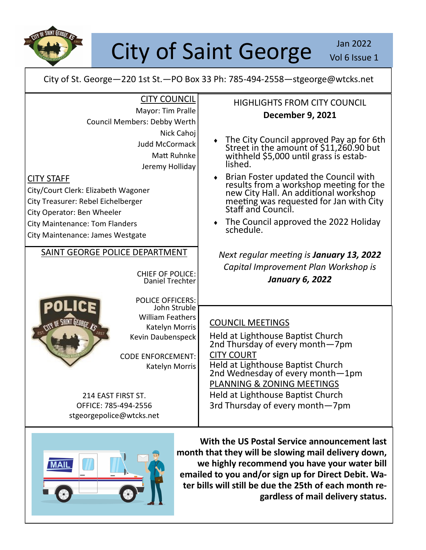

## City of Saint George Jan 2022

Vol 6 Issue 1

City of St. George—220 1st St.—PO Box 33 Ph: 785-494-2558—stgeorge@wtcks.net

| <b>CITY COUNCIL</b>                                                                                                                                                                                                                                                                | <b>HIGHLIGHTS FROM CITY COUNCIL</b>                                                                                                                                                                                                                                                                                                                                                               |
|------------------------------------------------------------------------------------------------------------------------------------------------------------------------------------------------------------------------------------------------------------------------------------|---------------------------------------------------------------------------------------------------------------------------------------------------------------------------------------------------------------------------------------------------------------------------------------------------------------------------------------------------------------------------------------------------|
| Mayor: Tim Pralle                                                                                                                                                                                                                                                                  | <b>December 9, 2021</b>                                                                                                                                                                                                                                                                                                                                                                           |
| Council Members: Debby Werth                                                                                                                                                                                                                                                       |                                                                                                                                                                                                                                                                                                                                                                                                   |
| Nick Cahoj<br><b>Judd McCormack</b><br>Matt Ruhnke<br>Jeremy Holliday<br><b>CITY STAFF</b><br>City/Court Clerk: Elizabeth Wagoner<br>City Treasurer: Rebel Eichelberger<br>City Operator: Ben Wheeler<br><b>City Maintenance: Tom Flanders</b><br>City Maintenance: James Westgate | The City Council approved Pay ap for 6th<br>Street in the amount of \$11,260.90 but<br>withheld \$5,000 until grass is estab-<br>lished.<br>Brian Foster updated the Council with<br>results from a workshop meeting for the<br>new City Hall. An additional workshop<br>meeting was requested for Jan with City<br>Staff and Council.<br>٠<br>The Council approved the 2022 Holiday<br>schedule. |
| SAINT GEORGE POLICE DEPARTMENT<br><b>CHIEF OF POLICE:</b><br>Daniel Trechter<br><b>POLICE OFFICERS:</b>                                                                                                                                                                            | Next regular meeting is January 13, 2022<br>Capital Improvement Plan Workshop is<br><b>January 6, 2022</b>                                                                                                                                                                                                                                                                                        |
| John Struble<br><b>William Feathers</b><br>$\mathcal{R}$<br>Katelyn Morris<br>Kevin Daubenspeck<br><b>CODE ENFORCEMENT:</b><br>Katelyn Morris<br>214 EAST FIRST ST.<br>OFFICE: 785-494-2556<br>stgeorgepolice@wtcks.net                                                            | <b>COUNCIL MEETINGS</b><br>Held at Lighthouse Baptist Church<br>2nd Thursday of every month-7pm<br><b>CITY COURT</b><br>Held at Lighthouse Baptist Church<br>2nd Wednesday of every month-1pm<br>PLANNING & ZONING MEETINGS<br>Held at Lighthouse Baptist Church<br>3rd Thursday of every month-7pm                                                                                               |



**With the US Postal Service announcement last month that they will be slowing mail delivery down, we highly recommend you have your water bill emailed to you and/or sign up for Direct Debit. Water bills will still be due the 25th of each month regardless of mail delivery status.**